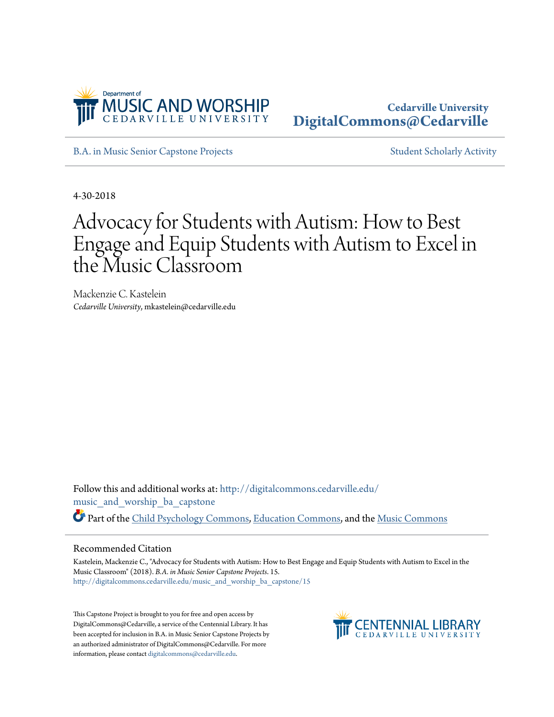

## **Cedarville University [DigitalCommons@Cedarville](http://digitalcommons.cedarville.edu?utm_source=digitalcommons.cedarville.edu%2Fmusic_and_worship_ba_capstone%2F15&utm_medium=PDF&utm_campaign=PDFCoverPages)**

[B.A. in Music Senior Capstone Projects](http://digitalcommons.cedarville.edu/music_and_worship_ba_capstone?utm_source=digitalcommons.cedarville.edu%2Fmusic_and_worship_ba_capstone%2F15&utm_medium=PDF&utm_campaign=PDFCoverPages) [Student Scholarly Activity](http://digitalcommons.cedarville.edu/music_student_scholarly_activity?utm_source=digitalcommons.cedarville.edu%2Fmusic_and_worship_ba_capstone%2F15&utm_medium=PDF&utm_campaign=PDFCoverPages)

4-30-2018

## Advocacy for Students with Autism: How to Best Engage and Equip Students with Autism to Excel in the Music Classroom

Mackenzie C. Kastelein *Cedarville University*, mkastelein@cedarville.edu

Follow this and additional works at: [http://digitalcommons.cedarville.edu/](http://digitalcommons.cedarville.edu/music_and_worship_ba_capstone?utm_source=digitalcommons.cedarville.edu%2Fmusic_and_worship_ba_capstone%2F15&utm_medium=PDF&utm_campaign=PDFCoverPages) [music\\_and\\_worship\\_ba\\_capstone](http://digitalcommons.cedarville.edu/music_and_worship_ba_capstone?utm_source=digitalcommons.cedarville.edu%2Fmusic_and_worship_ba_capstone%2F15&utm_medium=PDF&utm_campaign=PDFCoverPages) Part of the [Child Psychology Commons](http://network.bepress.com/hgg/discipline/1023?utm_source=digitalcommons.cedarville.edu%2Fmusic_and_worship_ba_capstone%2F15&utm_medium=PDF&utm_campaign=PDFCoverPages), [Education Commons](http://network.bepress.com/hgg/discipline/784?utm_source=digitalcommons.cedarville.edu%2Fmusic_and_worship_ba_capstone%2F15&utm_medium=PDF&utm_campaign=PDFCoverPages), and the [Music Commons](http://network.bepress.com/hgg/discipline/518?utm_source=digitalcommons.cedarville.edu%2Fmusic_and_worship_ba_capstone%2F15&utm_medium=PDF&utm_campaign=PDFCoverPages)

## Recommended Citation

Kastelein, Mackenzie C., "Advocacy for Students with Autism: How to Best Engage and Equip Students with Autism to Excel in the Music Classroom" (2018). *B.A. in Music Senior Capstone Projects*. 15. [http://digitalcommons.cedarville.edu/music\\_and\\_worship\\_ba\\_capstone/15](http://digitalcommons.cedarville.edu/music_and_worship_ba_capstone/15?utm_source=digitalcommons.cedarville.edu%2Fmusic_and_worship_ba_capstone%2F15&utm_medium=PDF&utm_campaign=PDFCoverPages)

This Capstone Project is brought to you for free and open access by DigitalCommons@Cedarville, a service of the Centennial Library. It has been accepted for inclusion in B.A. in Music Senior Capstone Projects by an authorized administrator of DigitalCommons@Cedarville. For more information, please contact [digitalcommons@cedarville.edu.](mailto:digitalcommons@cedarville.edu)

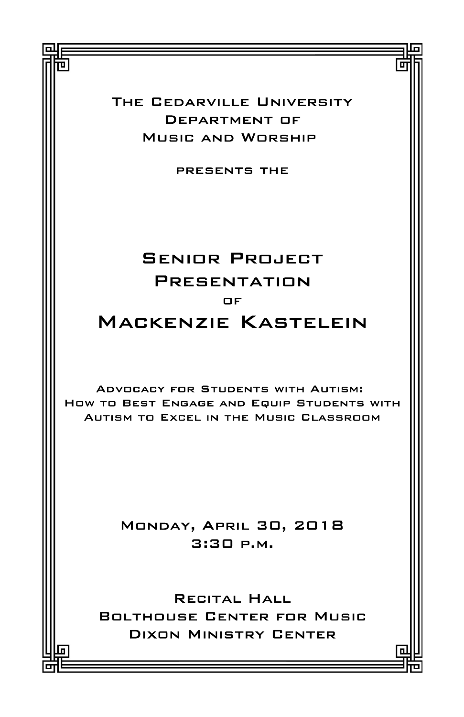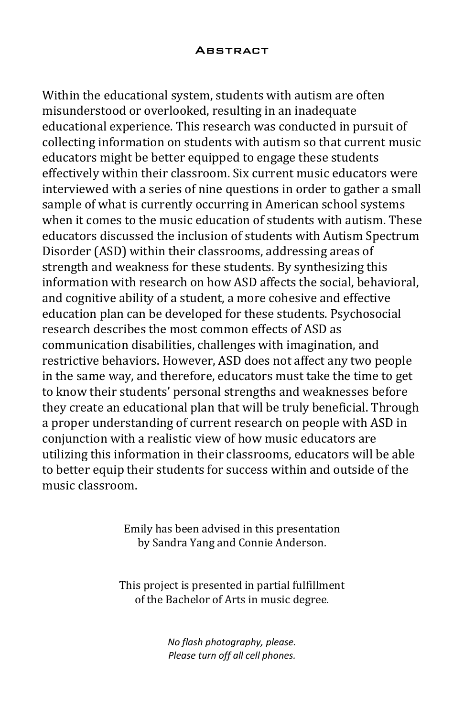## **ABSTRACT**

Within the educational system, students with autism are often misunderstood or overlooked, resulting in an inadequate educational experience. This research was conducted in pursuit of collecting information on students with autism so that current music educators might be better equipped to engage these students effectively within their classroom. Six current music educators were interviewed with a series of nine questions in order to gather a small sample of what is currently occurring in American school systems when it comes to the music education of students with autism. These educators discussed the inclusion of students with Autism Spectrum Disorder (ASD) within their classrooms, addressing areas of strength and weakness for these students. By synthesizing this information with research on how ASD affects the social, behavioral, and cognitive ability of a student, a more cohesive and effective education plan can be developed for these students. Psychosocial research describes the most common effects of ASD as communication disabilities, challenges with imagination, and restrictive behaviors. However, ASD does not affect any two people in the same way, and therefore, educators must take the time to get to know their students' personal strengths and weaknesses before they create an educational plan that will be truly beneficial. Through a proper understanding of current research on people with ASD in conjunction with a realistic view of how music educators are utilizing this information in their classrooms, educators will be able to better equip their students for success within and outside of the music classroom.

> Emily has been advised in this presentation by Sandra Yang and Connie Anderson.

This project is presented in partial fulfillment of the Bachelor of Arts in music degree.

> No flash photography, please. Please turn off all cell phones.